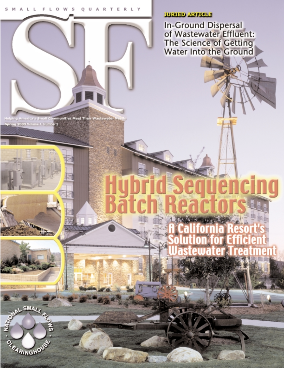## **JURIED ARTICLE**

In-Ground Dispersal<br>of Wastewater Effluent:<br>The Science of Getting<br>Water Into the Ground

g

ping America's Small Communities Meet Their Wastewater Needs, Hel 2003 Volume 4, Number 2

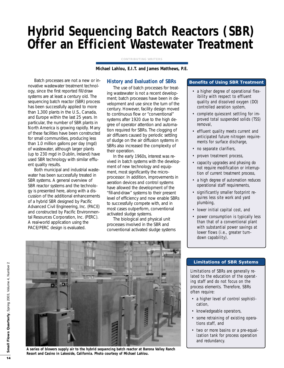# **Hybrid Sequencing Batch Reactors (SBR) Offer an Efficient Wastewater Treatment**

**CONTRIBUTING WRITERS**

**Michael Lahlou, E.I.T. and James Matthews, P.E.**

Batch processes are not a new or innovative wastewater treatment technology, since the first reported fill/draw systems are at least a century old. The sequencing batch reactor (SBR) process has been successfully applied to more than 1,300 plants in the U.S., Canada, and Europe within the last 25 years. In particular, the number of SBR plants in North America is growing rapidly. Many of these facilities have been constructed for small communities, producing less than 1.0 million gallons per day (mgd) of wastewater, although larger plants (up to 230 mgd in Dublin, Ireland) have used SBR technology with similar effluent quality results.

Both municipal and industrial wastewater has been successfully treated in SBR systems. A general overview of SBR reactor systems and the technology is presented here, along with a discussion of the additional enhancements of a hybrid SBR designed by Pacific Advanced Civil Engineering, Inc. (PACE) and constructed by Pacific Environmental Resources Corporation, Inc. (PERC). A real-world application using the PACE/PERC design is evaluated.

## **History and Evaluation of SBRs**

The use of batch processes for treating wastewater is not a recent development; batch processes have been in development and use since the turn of the century. However, facility design moved to continuous flow or "conventional" systems after 1920 due to the high degree of operator attention and automation required for SBRs. The clogging of air diffusers caused by periodic settling of sludge on the air diffusion systems in SBRs also increased the complexity of their operation.

In the early 1960s, interest was revived in batch systems with the development of new technology and equipment, most significantly the microprocessor. In addition, improvements in aeration devices and control systems have allowed the development of the "fill-and-draw" systems to their present level of efficiency and now enable SBRs to successfully compete with, and in most cases outperform, conventional activated sludge systems.

The biological and physical unit processes involved in the SBR and conventional activated sludge systems

## **Benefits of Using SBR Treatment**

- a higher degree of operational flexibility with respect to effluent quality and dissolved oxygen (DO) controlled aeration system,
- complete quiescent settling for improved total suspended solids (TSS) removal,
- effluent quality meets current and anticipated future nitrogen requirements for surface discharge,
- no separate clarifiers,
- proven treatment process,
- capacity upgrades and phasing do not require modification or interruption of current treatment process,
- a high degree of automation reduces operational staff requirements,
- significantly smaller footprint requires less site work and yard plumbing,
- lower initial capital cost, and
- power consumption is typically less than that of a conventional plant with substantial power savings at lower flows (i.e., greater turndown capability).



#### **Limitations of SBR Systems**

Limitations of SBRs are generally related to the education of the operating staff and do not focus on the process elements. Therefore, SBRs often require:

- a higher level of control sophistication,
- knowledgeable operators,
- some retraining of existing operations staff, and
- two or more basins or a pre-equalization tank for process operation and redundancy.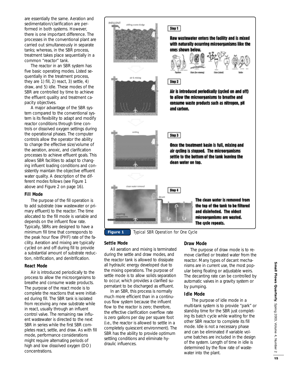are essentially the same. Aeration and sedimentation/clarification are performed in both systems. However, there is one important difference. The processes in the conventional plant are carried out simultaneously in separate tanks; whereas, in the SBR process, treatment takes place sequentially in a common "reactor" tank.

The reactor in an SBR system has five basic operating modes. Listed sequentially in the treatment process, they are 1) fill, 2) react, 3) settle, 4) draw, and 5) idle. These modes of the SBR are controlled by time to achieve the effluent quality and treatment capacity objectives.

A major advantage of the SBR system compared to the conventional system is its flexibility to adapt and modify reactor conditions through time controls or dissolved oxygen settings during the operational phases. The computer controls allow the operator the ability to change the effective size/volume of the aeration, anoxic, and clarification processes to achieve effluent goals. This allows SBR facilities to adapt to changing influent loading conditions and consistently maintain the objective effluent water quality. A description of the different modes follows (see Figure 1 above and Figure 2 on page 16).

#### **Fill Mode**

The purpose of the fill operation is to add substrate (raw wastewater or primary effluent) to the reactor. The time allocated to the fill mode is variable and depends on the influent flow rate. Typically, SBRs are designed to have a minimum fill time that corresponds to the peak hour flow (PHF) rate of the facility. Aeration and mixing are typically cycled on and off during fill to provide a substantial amount of substrate reduction, nitrification, and denitrification.

#### **React Mode**

Air is introduced periodically to the process to allow the microorganisms to breathe and consume waste products. The purpose of the react mode is to complete the reactions that were initiated during fill. The SBR tank is isolated from receiving any new substrate while in react, usually through an influent control valve. The remaining raw influent wastewater is directed to the next SBR in series while the first SBR completes react, settle, and draw. As with fill mode, performance considerations might require alternating periods of high and low dissolved oxygen (DO) concentrations.



#### **Settle Mode**

All aeration and mixing is terminated during the settle and draw modes, and the reactor tank is allowed to dissipate all hydraulic energy developed due to the mixing operations. The purpose of settle mode is to allow solids separation to occur, which provides a clarified supernatant to be discharged as effluent.

In an SBR, this process is normally much more efficient than in a continuous flow system because the influent flow to the reactor is zero; therefore, the effective clarification overflow rate is zero gallons per day per square foot (i.e., the reactor is allowed to settle in a completely quiescent environment). The SBR has the ability to provide optimum settling conditions and eliminate hydraulic influences.

#### **Draw Mode**

The purpose of draw mode is to remove clarified or treated water from the reactor. Many types of decant mechanisms are in current use, the most popular being floating or adjustable weirs. The decanting rate can be controlled by automatic valves in a gravity system or by pumping.

#### **Idle Mode**

The purpose of idle mode in a multi-tank system is to provide "park" or stand-by time for the SBR just completing its batch cycle while waiting for the other SBR reactor to complete its fill mode. Idle is not a necessary phase and can be eliminated if variable volume batches are included in the design of the system. Length of time in idle is determined by the flow rate of wastewater into the plant.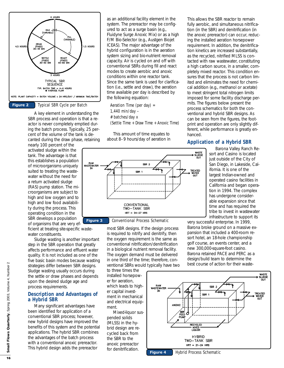

A key element in understanding the SBR process and operation is that a reactor is never completely emptied during the batch process. Typically, 25 percent of the volume of the tank is decanted during the draw phase, retaining

nearly 100 percent of the activated sludge within the tank. The advantage is that this establishes a population of microorganisms uniquely suited to treating the wastewater without the need for a return activated sludge (RAS) pump station. The microorganisms are subject to high and low oxygen and to high and low food availability during the process. This operating condition in the SBR develops a population of organisms that are very ef-

ficient at treating site-specific wastewater constituents.

Sludge wasting is another important step in the SBR operation that greatly affects performance and effluent water quality. It is not included as one of the five basic basin modes because wasting strategies differ between SBR designs. Sludge wasting usually occurs during the settle or draw phases and depends upon the desired sludge age and process requirements.

## **Description and Advantages of a Hybrid SBR**

Many significant advantages have been identified for application of a conventional SBR process; however, new hybrid designs have improved the benefits of this system and the potential applications. The hybrid SBR combines the advantages of the batch process with a conventional anoxic prereactor. This hybrid design adds the prereactor

as an additional facility element in the system. The prereactor may be configured to act as a surge basin (e.g., Fluidyne Surge Anoxic Mix) or as a high F/M Bio-Selector (e.g., Austgen Biojet ICEAS). The major advantage of the hybrid configuration is in the aeration system sizing and bio-nutrient removal capacity. Air is cycled on and off with conventional SBRs during fill and react modes to create aerobic and anoxic conditions within one reactor tank. Since the same tank is used for clarification (i.e., settle and draw), the aeration time available per day is described by the following equation:

Aeration Time (per day) = 1,440 min/day – # batches/day x (Settle Time + Draw Time + Anoxic Time)

This amount of time equates to about 8–9 hours/day of aeration in



most SBR designs. If the design process

is required to nitrify and denitrify, then the oxygen requirement is the same as conventional nitrification/denitrification in a biological nutrient removal facility. The oxygen demand must be delivered in one third of the time; therefore, conventional SBRs would typically have two

to three times the installed horsepower for aeration, which leads to higher capital investment in mechanical and electrical equipment.

Mixed-liquor suspended solids (MLSS) in the hybrid design are recycled back from the SBR to the anoxic prereactor for denitrification.

This allows the SBR reactor to remain fully aerobic, and simultaneous nitrification (in the SBR) and denitrification (in the anoxic prereactor) can occur, reducing the installed aeration horsepower requirement. In addition, the denitrification kinetics are increased substantially, as the recycled, nitrified MLSS is contacted with raw wastewater, constituting a high carbon source, in a smaller, completely mixed reactor. This condition ensures that the process is not carbon limited and eliminates the need for chemical addition (e.g., methanol or acetate) to meet stringent total nitrogen limits imposed for some facility discharge permits. The figures below present the process schematics for both the conventional and hybrid SBR designs. As can be seen from the figures, the footprint and operation are only slightly different, while performance is greatly enhanced.

## **Application of a Hybrid SBR**

Barona Valley Ranch Resort and Casino is located just outside of the City of San Diego, in Lakeside, California. It is one of the largest Indian-owned and operated casino facilities in California and began operation in 1994. The complex has undergone considerable expansion since that time and has required the tribe to invest in wastewater infrastructure to support its

very successful enterprise. In 1999, Barona broke ground on a massive expansion that included a 400-room resort hotel, an 18-hole championship golf course, an events center, and a new 300,000-square-foot casino. Barona retained PACE and PERC as a design/build team to determine the best course of action for their waste-